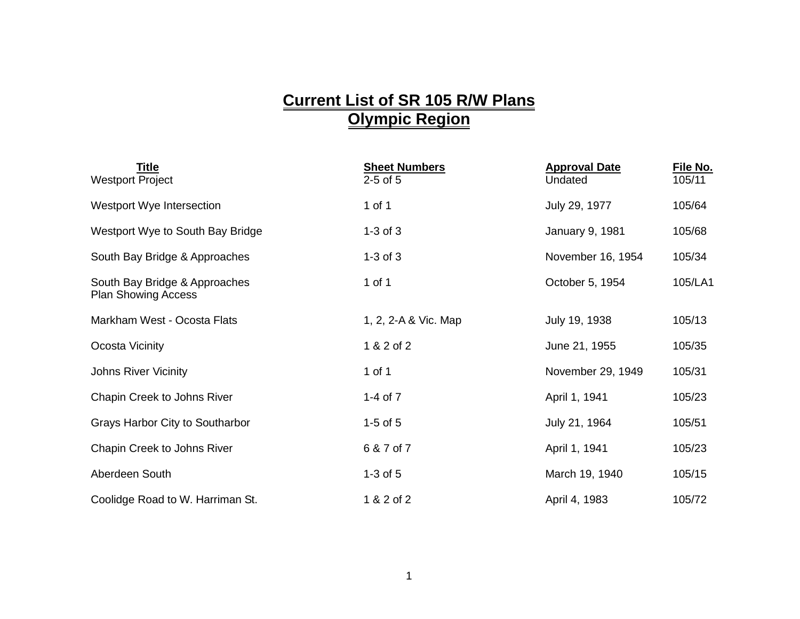## **Current List of SR 105 R/W Plans Olympic Region**

| <b>Title</b><br><b>Westport Project</b>                     | <b>Sheet Numbers</b><br>$2-5$ of $5$ | <b>Approval Date</b><br>Undated | File No.<br>105/11 |
|-------------------------------------------------------------|--------------------------------------|---------------------------------|--------------------|
| Westport Wye Intersection                                   | 1 of 1                               | July 29, 1977                   | 105/64             |
| Westport Wye to South Bay Bridge                            | $1-3$ of $3$                         | <b>January 9, 1981</b>          | 105/68             |
| South Bay Bridge & Approaches                               | $1-3$ of $3$                         | November 16, 1954               | 105/34             |
| South Bay Bridge & Approaches<br><b>Plan Showing Access</b> | 1 of 1                               | October 5, 1954                 | 105/LA1            |
| Markham West - Ocosta Flats                                 | 1, 2, 2-A & Vic. Map                 | July 19, 1938                   | 105/13             |
| Ocosta Vicinity                                             | 1 & 2 of 2                           | June 21, 1955                   | 105/35             |
| <b>Johns River Vicinity</b>                                 | 1 of 1                               | November 29, 1949               | 105/31             |
| Chapin Creek to Johns River                                 | 1-4 of $7$                           | April 1, 1941                   | 105/23             |
| Grays Harbor City to Southarbor                             | $1-5$ of $5$                         | July 21, 1964                   | 105/51             |
| Chapin Creek to Johns River                                 | 6 & 7 of 7                           | April 1, 1941                   | 105/23             |
| Aberdeen South                                              | $1-3$ of $5$                         | March 19, 1940                  | 105/15             |
| Coolidge Road to W. Harriman St.                            | 1 & 2 of 2                           | April 4, 1983                   | 105/72             |